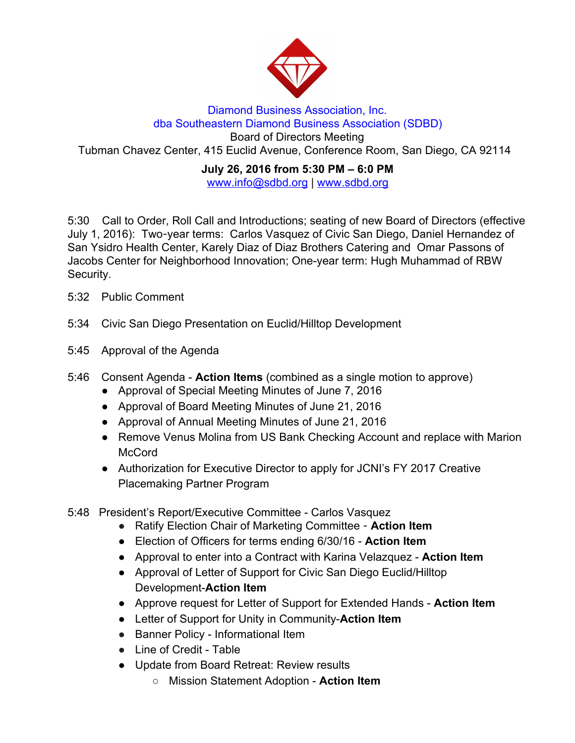

## Diamond Business Association, Inc. dba Southeastern Diamond Business Association (SDBD) Board of Directors Meeting Tubman Chavez Center, 415 Euclid Avenue, Conference Room, San Diego, CA 92114

## **July 26, 2016 from 5:30 PM – 6:0 PM** www.info@sdbd.org | [www.sdbd.org](http://www.sdbd.org/)

5:30 Call to Order, Roll Call and Introductions; seating of new Board of Directors (effective July 1, 2016): Two-year terms: Carlos Vasquez of Civic San Diego, Daniel Hernandez of San Ysidro Health Center, Karely Diaz of Diaz Brothers Catering and Omar Passons of Jacobs Center for Neighborhood Innovation; One-year term: Hugh Muhammad of RBW Security.

- 5:32 Public Comment
- 5:34 Civic San Diego Presentation on Euclid/Hilltop Development
- 5:45 Approval of the Agenda
- 5:46 Consent Agenda **Action Items** (combined as a single motion to approve)
	- Approval of Special Meeting Minutes of June 7, 2016
	- Approval of Board Meeting Minutes of June 21, 2016
	- Approval of Annual Meeting Minutes of June 21, 2016
	- Remove Venus Molina from US Bank Checking Account and replace with Marion McCord
	- Authorization for Executive Director to apply for JCNI's FY 2017 Creative Placemaking Partner Program
- 5:48 President's Report/Executive Committee Carlos Vasquez
	- Ratify Election Chair of Marketing Committee **Action Item**
	- Election of Officers for terms ending 6/30/16 **Action Item**
	- Approval to enter into a Contract with Karina Velazquez **Action Item**
	- Approval of Letter of Support for Civic San Diego Euclid/Hilltop Development-**Action Item**
	- Approve request for Letter of Support for Extended Hands - **Action Item**
	- Letter of Support for Unity in Community-**Action Item**
	- **●** Banner Policy Informational Item
	- **●** Line of Credit Table
	- Update from Board Retreat: Review results
		- Mission Statement Adoption **Action Item**